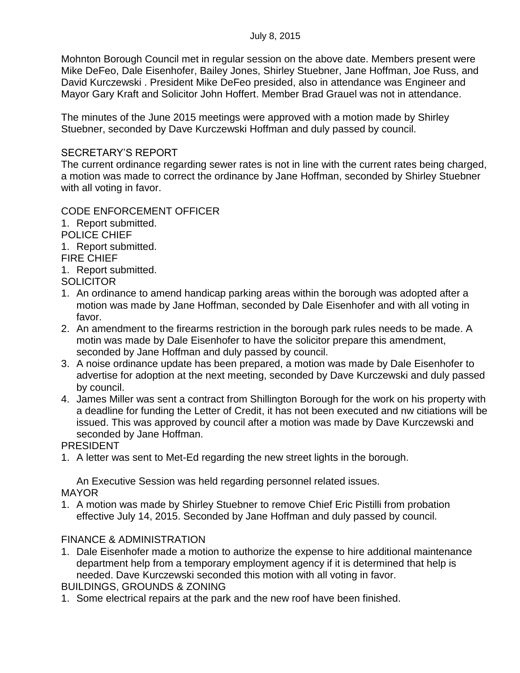Mohnton Borough Council met in regular session on the above date. Members present were Mike DeFeo, Dale Eisenhofer, Bailey Jones, Shirley Stuebner, Jane Hoffman, Joe Russ, and David Kurczewski . President Mike DeFeo presided, also in attendance was Engineer and Mayor Gary Kraft and Solicitor John Hoffert. Member Brad Grauel was not in attendance.

The minutes of the June 2015 meetings were approved with a motion made by Shirley Stuebner, seconded by Dave Kurczewski Hoffman and duly passed by council.

### SECRETARY'S REPORT

The current ordinance regarding sewer rates is not in line with the current rates being charged, a motion was made to correct the ordinance by Jane Hoffman, seconded by Shirley Stuebner with all voting in favor.

# CODE ENFORCEMENT OFFICER

1. Report submitted.

POLICE CHIEF

1. Report submitted.

FIRE CHIEF

1. Report submitted.

**SOLICITOR** 

- 1. An ordinance to amend handicap parking areas within the borough was adopted after a motion was made by Jane Hoffman, seconded by Dale Eisenhofer and with all voting in favor.
- 2. An amendment to the firearms restriction in the borough park rules needs to be made. A motin was made by Dale Eisenhofer to have the solicitor prepare this amendment, seconded by Jane Hoffman and duly passed by council.
- 3. A noise ordinance update has been prepared, a motion was made by Dale Eisenhofer to advertise for adoption at the next meeting, seconded by Dave Kurczewski and duly passed by council.
- 4. James Miller was sent a contract from Shillington Borough for the work on his property with a deadline for funding the Letter of Credit, it has not been executed and nw citiations will be issued. This was approved by council after a motion was made by Dave Kurczewski and seconded by Jane Hoffman.

PRESIDENT

1. A letter was sent to Met-Ed regarding the new street lights in the borough.

An Executive Session was held regarding personnel related issues. MAYOR

1. A motion was made by Shirley Stuebner to remove Chief Eric Pistilli from probation effective July 14, 2015. Seconded by Jane Hoffman and duly passed by council.

# FINANCE & ADMINISTRATION

1. Dale Eisenhofer made a motion to authorize the expense to hire additional maintenance department help from a temporary employment agency if it is determined that help is needed. Dave Kurczewski seconded this motion with all voting in favor.

BUILDINGS, GROUNDS & ZONING

1. Some electrical repairs at the park and the new roof have been finished.